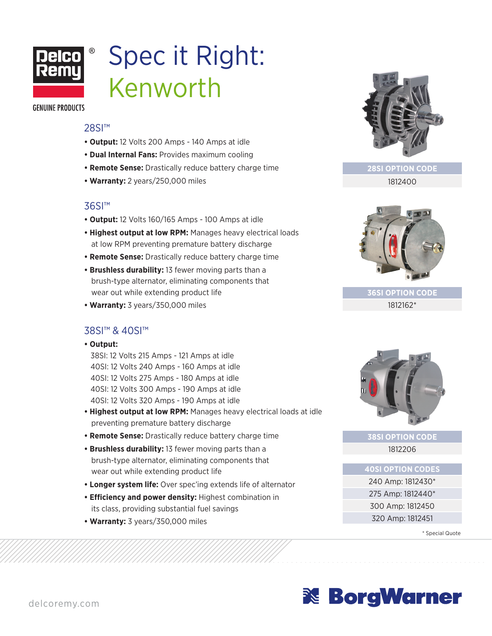

# Spec it Right: Kenworth

**GENUINE PRODUCTS** 

#### 28SI™

- **Output:** 12 Volts 200 Amps 140 Amps at idle
- **Dual Internal Fans:** Provides maximum cooling
- **Remote Sense:** Drastically reduce battery charge time
- **Warranty:** 2 years/250,000 miles

## 36SI™

- **Output:** 12 Volts 160/165 Amps 100 Amps at idle
- **Highest output at low RPM:** Manages heavy electrical loads at low RPM preventing premature battery discharge
- **Remote Sense:** Drastically reduce battery charge time
- **Brushless durability:** 13 fewer moving parts than a brush-type alternator, eliminating components that wear out while extending product life
- **Warranty:** 3 years/350,000 miles

## 38SI™ & 40SI™

**• Output:**

38SI: 12 Volts 215 Amps - 121 Amps at idle 40SI: 12 Volts 240 Amps - 160 Amps at idle 40SI: 12 Volts 275 Amps - 180 Amps at idle 40SI: 12 Volts 300 Amps - 190 Amps at idle 40SI: 12 Volts 320 Amps - 190 Amps at idle

- **Highest output at low RPM:** Manages heavy electrical loads at idle preventing premature battery discharge
- **Remote Sense:** Drastically reduce battery charge time
- **Brushless durability:** 13 fewer moving parts than a brush-type alternator, eliminating components that wear out while extending product life
- **Longer system life:** Over spec'ing extends life of alternator
- **Efficiency and power density:** Highest combination in its class, providing substantial fuel savings
- **Warranty:** 3 years/350,000 miles



**28SI OPTION CODE** 1812400



**36SI OPTION CODE** 1812162\*



**38SI OPTION CODE** 1812206

### **40SI OPTION CODES**

240 Amp: 1812430\* 275 Amp: 1812440\* 300 Amp: 1812450 320 Amp: 1812451

\* Special Quote